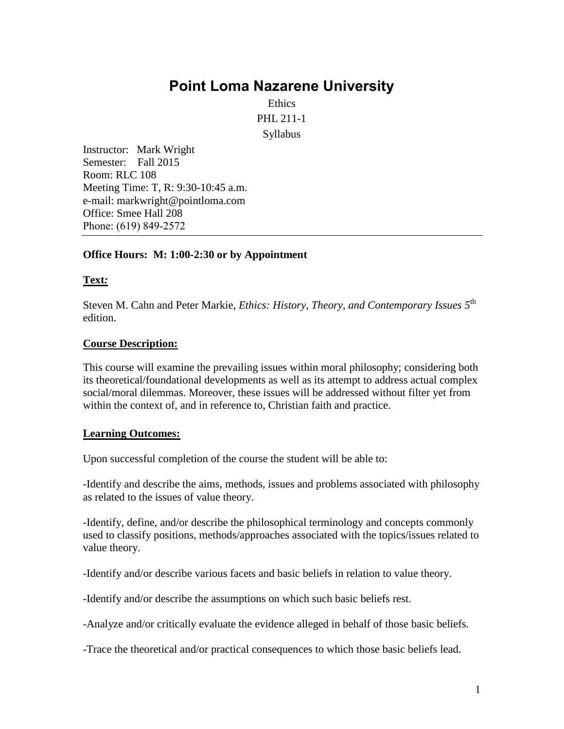# **Point Loma [Nazarene](http://www.pointloma.edu/) University**

**Ethics** PHL 211-1 Syllabus

Instructor: Mark Wright Semester: Fall 2015 Room: RLC 108 Meeting Time: T, R: 9:30-10:45 a.m. e-mail: markwright@pointloma.com Office: Smee Hall 208 Phone: (619) 849-2572

#### **Office Hours: M: 1:00-2:30 or by Appointment**

#### **Text***:*

Steven M. Cahn and Peter Markie, *Ethics: History, Theory, and Contemporary Issues*  $5<sup>th</sup>$ edition.

#### **Course Description:**

This course will examine the prevailing issues within moral philosophy; considering both its theoretical/foundational developments as well as its attempt to address actual complex social/moral dilemmas. Moreover, these issues will be addressed without filter yet from within the context of, and in reference to, Christian faith and practice.

#### **Learning Outcomes:**

Upon successful completion of the course the student will be able to:

-Identify and describe the aims, methods, issues and problems associated with philosophy as related to the issues of value theory.

-Identify, define, and/or describe the philosophical terminology and concepts commonly used to classify positions, methods/approaches associated with the topics/issues related to value theory.

-Identify and/or describe various facets and basic beliefs in relation to value theory.

-Identify and/or describe the assumptions on which such basic beliefs rest.

-Analyze and/or critically evaluate the evidence alleged in behalf of those basic beliefs.

-Trace the theoretical and/or practical consequences to which those basic beliefs lead.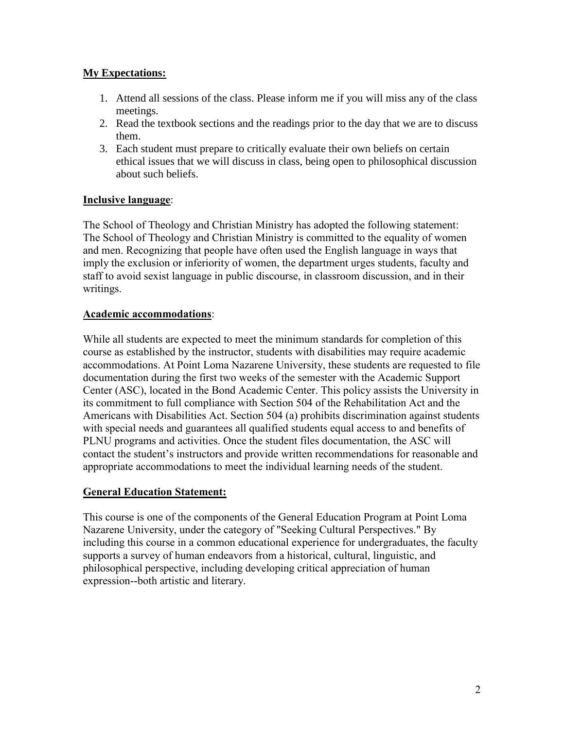## **My Expectations:**

- 1. Attend all sessions of the class. Please inform me if you will miss any of the class meetings.
- 2. Read the textbook sections and the readings prior to the day that we are to discuss them.
- 3. Each student must prepare to critically evaluate their own beliefs on certain ethical issues that we will discuss in class, being open to philosophical discussion about such beliefs.

## **Inclusive language**:

The School of Theology and Christian Ministry has adopted the following statement: The School of Theology and Christian Ministry is committed to the equality of women and men. Recognizing that people have often used the English language in ways that imply the exclusion or inferiority of women, the department urges students, faculty and staff to avoid sexist language in public discourse, in classroom discussion, and in their writings.

## **Academic accommodations**:

While all students are expected to meet the minimum standards for completion of this course as established by the instructor, students with disabilities may require academic accommodations. At Point Loma Nazarene University, these students are requested to file documentation during the first two weeks of the semester with the Academic Support Center (ASC), located in the Bond Academic Center. This policy assists the University in its commitment to full compliance with Section 504 of the Rehabilitation Act and the Americans with Disabilities Act. Section 504 (a) prohibits discrimination against students with special needs and guarantees all qualified students equal access to and benefits of PLNU programs and activities. Once the student files documentation, the ASC will contact the student's instructors and provide written recommendations for reasonable and appropriate accommodations to meet the individual learning needs of the student.

## **General Education Statement:**

This course is one of the components of the General Education Program at Point Loma Nazarene University, under the category of "Seeking Cultural Perspectives." By including this course in a common educational experience for undergraduates, the faculty supports a survey of human endeavors from a historical, cultural, linguistic, and philosophical perspective, including developing critical appreciation of human expression--both artistic and literary.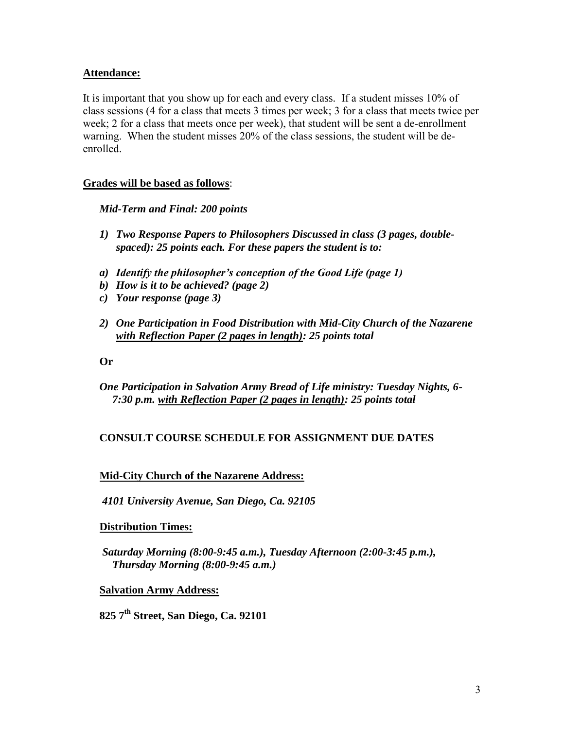### **Attendance:**

It is important that you show up for each and every class. If a student misses 10% of class sessions (4 for a class that meets 3 times per week; 3 for a class that meets twice per week; 2 for a class that meets once per week), that student will be sent a de-enrollment warning. When the student misses 20% of the class sessions, the student will be deenrolled.

#### **Grades will be based as follows**:

*Mid-Term and Final: 200 points*

- *1) Two Response Papers to Philosophers Discussed in class (3 pages, doublespaced): 25 points each. For these papers the student is to:*
- *a) Identify the philosopher's conception of the Good Life (page 1)*
- *b) How is it to be achieved? (page 2)*
- *c) Your response (page 3)*
- *2) One Participation in Food Distribution with Mid-City Church of the Nazarene with Reflection Paper (2 pages in length): 25 points total*

**Or** 

*One Participation in Salvation Army Bread of Life ministry: Tuesday Nights, 6- 7:30 p.m. with Reflection Paper (2 pages in length): 25 points total* 

## **CONSULT COURSE SCHEDULE FOR ASSIGNMENT DUE DATES**

#### **Mid-City Church of the Nazarene Address:**

*4101 University Avenue, San Diego, Ca. 92105*

#### **Distribution Times:**

*Saturday Morning (8:00-9:45 a.m.), Tuesday Afternoon (2:00-3:45 p.m.), Thursday Morning (8:00-9:45 a.m.)* 

#### **Salvation Army Address:**

**825 7th Street, San Diego, Ca. 92101**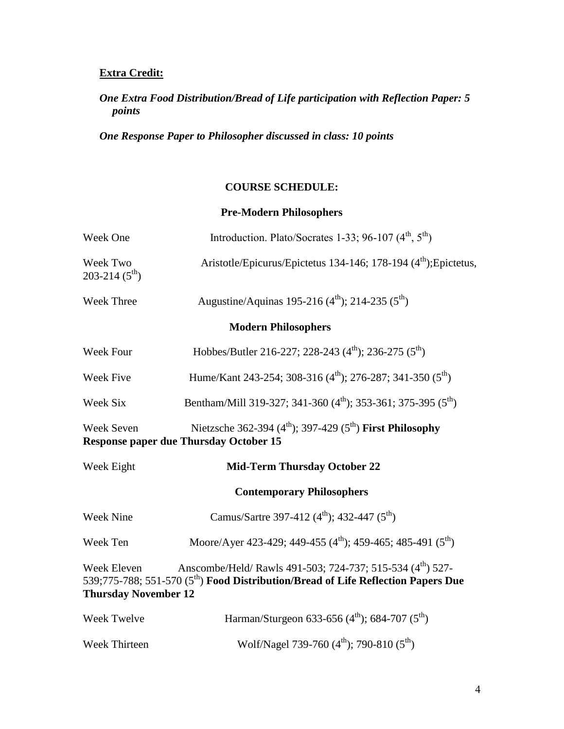## **Extra Credit:**

## *One Extra Food Distribution/Bread of Life participation with Reflection Paper: 5 points*

*One Response Paper to Philosopher discussed in class: 10 points* 

#### **COURSE SCHEDULE:**

## **Pre-Modern Philosophers**

| Week One                                   | Introduction. Plato/Socrates 1-33; 96-107 $(4^{th}, 5^{th})$                                                                                                            |
|--------------------------------------------|-------------------------------------------------------------------------------------------------------------------------------------------------------------------------|
| Week Two<br>203-214 $(5^{th})$             | Aristotle/Epicurus/Epictetus 134-146; 178-194 (4 <sup>th</sup> );Epictetus,                                                                                             |
| Week Three                                 | Augustine/Aquinas 195-216 (4 <sup>th</sup> ); 214-235 (5 <sup>th</sup> )                                                                                                |
|                                            | <b>Modern Philosophers</b>                                                                                                                                              |
| Week Four                                  | Hobbes/Butler 216-227; 228-243 $(4^{\text{th}})$ ; 236-275 $(5^{\text{th}})$                                                                                            |
| Week Five                                  | Hume/Kant 243-254; 308-316 (4 <sup>th</sup> ); 276-287; 341-350 (5 <sup>th</sup> )                                                                                      |
| Week Six                                   | Bentham/Mill 319-327; 341-360 (4 <sup>th</sup> ); 353-361; 375-395 (5 <sup>th</sup> )                                                                                   |
| Week Seven                                 | Nietzsche 362-394 (4 <sup>th</sup> ); 397-429 (5 <sup>th</sup> ) First Philosophy<br><b>Response paper due Thursday October 15</b>                                      |
| Week Eight                                 | <b>Mid-Term Thursday October 22</b>                                                                                                                                     |
|                                            | <b>Contemporary Philosophers</b>                                                                                                                                        |
| Week Nine                                  | Camus/Sartre 397-412 (4 <sup>th</sup> ); 432-447 (5 <sup>th</sup> )                                                                                                     |
| Week Ten                                   | Moore/Ayer 423-429; 449-455 (4 <sup>th</sup> ); 459-465; 485-491 (5 <sup>th</sup> )                                                                                     |
| Week Eleven<br><b>Thursday November 12</b> | Anscombe/Held/ Rawls 491-503; 724-737; 515-534 (4 <sup>th</sup> ) 527-<br>539;775-788; 551-570 (5 <sup>th</sup> ) Food Distribution/Bread of Life Reflection Papers Due |
| Week Twelve                                | Harman/Sturgeon 633-656 (4 <sup>th</sup> ); 684-707 (5 <sup>th</sup> )                                                                                                  |
| Week Thirteen                              | Wolf/Nagel 739-760 $(4^{\text{th}})$ ; 790-810 $(5^{\text{th}})$                                                                                                        |